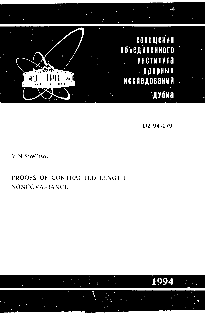

D2-94-179

V.N.Strel'tsov

## PROOFS OF CONTRACTED LENGTH NONCOVARIANCE

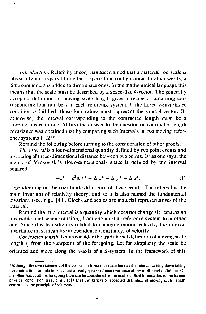*Introduction.* Relativity theory has ascertained that a material rod scale is physically not a spatial thing but a space-lime configuration. In other words, a time component is added to three space ones. In the mathematical language this means that the scale must be described by a space-like 4-vector. The generally accepted definition of moving scale length gives a recipe of obtaining corresponding four numbers in each reference system. If the Lorentz-invariance condition is fulfilled, these four values must represent the same 4-vector. Or otherwise.; the interval corresponding to the contracted length must be a Lorcntz-invariant one. At first the answer to the question on contracted length covariancc was obtained just by comparing such intervals in two moving reference systems 11,2|\*.

Remind the following before turning to the consideration of other proofs.

*The interval* is a four-dimensional quantity defined by two point events and an analog of three-dimensional distance between two points. Or as one says, the metric of Minkowski's (four-dimensional) space is defined by the interval squared

$$
-s2 = c2 \Delta t2 - \Delta x2 - \Delta y2 - \Delta z2,
$$
 (1)

dependending on the coordinate difference of these events. The interval is the main invariant of relativity theory, and so it is also named the fundamental invariant (see, e.g., [4 ]). Clocks and scales are material representatives of the interval.

Remind that the interval is a quantity which does not change (it remains an invariable one) when transiting from one inertial reference system to another one. Since this transition is related to changing motion velocity, the interval invariancc must mean its independence (constancy) of velocity.

*Contracted length.* Let us consider the traditiional definition of moving scale length  $l_a$  from the viewpoint of the foregoing. Let for simplicity the scale be oriented and move along the  $x$ -axis of a  $S$ -system. In the framework of this

<sup>&#</sup>x27;Although the own statement of the problem is in essence main here as the interval writing down taking the contraction formula into account already speaks of noncovariance of the traditional definition. On the other hand, all the foregoing here can be considered as the mathematical formulation of the former physical conclusion (see, e. g.,  $[3]$ ) that the generally accepted definition of moving scale length contradicts the principle of relativity.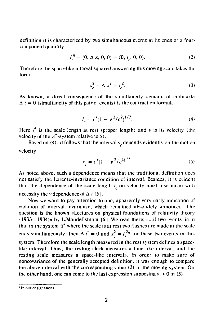definition it is characterized by two simultaneous events at its ends or a fourcomponent quantity

$$
l_c^n = (0, \Delta x, 0, 0) = (0, l_c, 0, 0). \tag{2}
$$

Therefore the space-like interval squared answering this moving scale takes the form

$$
s_c^2 = \Delta x^2 = l_c^2. \tag{3}
$$

As known, a direct consequence of the simultaneity demand of cndmarks  $\Delta t = 0$  (simultaneity of this pair of events) is the contraction formula

$$
l_c = l^* (1 - v^2/c^2)^{1/2}.
$$
 (4)

Here  $I^*$  is the scale length at rest (proper length) and  $\nu$  is its velocity (the velocity of the  $S^*$ -system relative to  $S$ ).

Based on (4), it follows that the interval *s*<sub>2</sub> depends evidently on the motion velocity

$$
s_c = l^* (1 - v^2/c^2)^{1/2}.
$$
 (5)

As noted above, such a dependence means that the traditional definition docs not satisfy the Lorentz-invariance condition of interval. Besides, it is evideni that the dependence of the scale length  $l<sub>e</sub>$  on velocity must also mean with necessity the *v* dependence of  $\Delta t$  [5].

Now we want to pay attention to one, apparently very early indication of violation of interval invariance, which remained absolutely unnoticed. The question is the known «Lectures on physical foundations of relativity theory  $(1933-1934)$ » by L.Mandel'shtam  $16$ ]. We read there: «...if two events lie in that in the system *S\** where the scale is at rest two flashes arc made at the scale ends simultaneously, then  $\Delta t^* = 0$  and  $s_c^2 = l_*^{2*}$  for these two events in this system. Therefore the scale length measured in the rest system defines a spacelike interval. Thus, the resting clock measures a time-like interval, and the resting scale measures a space-like interval». In order to make sure of noncovariance of the generally accepted definition, it was enough to compare the above interval with the corresponding value (3) in the moving system. On the other hand, one can come to the last expression supposing  $v \rightarrow 0$  in (5).

<sup>\*</sup>In our designations.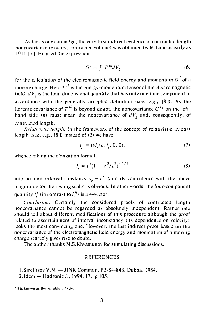As far as one can judge, the very first indirect evidence of contracted length noncovariance (exactly, contracted volume) was obtained by M.Lauc as early as 1911 |7 |. He used the expression

$$
G^i = \int T^{ik} dV_k \tag{6}
$$

for the calculation of the electromagnetic field energy and momentum *G'* of a moving charge. Here  $T<sup>ik</sup>$  is the energy-momentum tensor of the electromagnetic field.  $dV_k$  is the four-dimensional quantity that has only one time component in accordance with the generally accepted definition (sec, e.g., |8)>. As the Lorentz covariance of  $T^{ik}$  is beyond doubt, the noncovariance  $G^{i*}$  on the lefthand side (6) must mean the noncovariance of  $dV<sub>k</sub>$  and, consequently, of contracted length.

*Rc/ufivtstic length.* In the framework of the concept of relativislic (radar) length (see, e.g.,  $\{8\}$ ) instead of (2) we have

$$
l_r^{\,l} = (\nu l_r / c, \, l_r, \, 0, \, 0),\tag{7}
$$

whence taking the elongation formula

$$
l_r = l^* (1 - v^2/c^2)^{-1/2}
$$
 (8)

into account interval constancy  $s_r = l^*$  (and its coincidence with the above magnitude for the resting scale) is obvious. In other words, the four-component quantity  $l_i^T$  (in contrast to  $l_i^R$ ) is a 4-vector.

*Conclusion.* Certainly the considered proofs of contracted length noncovariance cannot be regarded as absolutely independent. Rather oneshould tell about different modifications of this procedure although the proof related to ascertainment of interval inconstancy (its dependence on velocity) looks the most convincing one. However, the last indirect proof based on the noncovariance of the electromagnetic field energy and momentum of a moving charge scarcely gives rise to doubt.

The author thanks M.S.Khvastunov for stimulating discussions.

## **REFERENCES**

l.Slrcl'tsov V.N.— JINRCommun. P2-84-843, Dubna, 1984.

2.1dcm — Hadronic J., 1994, 17, p.105.

<sup>\*</sup>It is known as the «problem  $4/3*$ .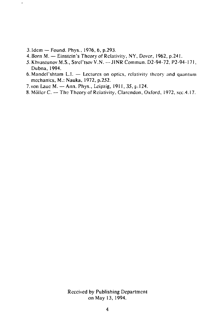3.1dem — Found. Phys., 1976, 6, p.293.

 $\ddot{\phantom{0}}$ 

- 4. Born M. Einstein's Theory of Relativity, NY, Dover, 1962, p.241.
- 5. Khvastunov M.S., Strel'tsov V.N. JINR Commun. D2-94-72, P2-94-171, Dubna, 1994.
- 6.Mandel'shtam L.I. Lectures on optics, relativity theory and quantum mechanics, M.: Nauka, 1972, p.252.
- 7. von Laue M. Ann. Phys., Leipzig, 1911, 35, p. 124.
- 8. Möller C. The Theory of Relativity, Clarendon, Oxford, 1972, sec.4.17.

Received by Publishing Department on May 13, 1994.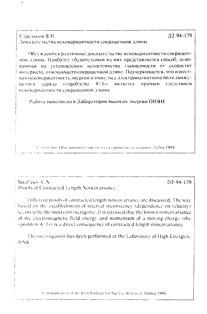Стрельцов В.Н. Локазательства нековариантности сокращенной длины

Обсуждаются различные доказательства нековариантности сокращеннои длины. Наиболее убелительным из них представляется способ, основанный на установлении непостоянства (зависимости от скорости) интервала, отвечающего сокращенной длине. Подчеркивается, что известная нековариантность энергии и импульса электромагнитного поля движу- $4/3<sub>2</sub>$ сопроблема является прямым следствием ністося: заряда нековариантности сокрашенной длины.

Работа выполнена в Лаборатории высоких энергий ОИЯИ.

Слобнение Обысиненного института я териых исследования. Лубна 1994.

Strelltsov V.N. Proofs of Contracted Length Noncovariance

Different proofs of contracted length noncovariance are discussed. The way based on the establishment of interval inconstancy (dependence on velocity). seems to be the most convincing one. It is stressed that the known noncovariance of the electromagnetic field energy and momentum of a moving charge (the «problem  $4/3$ ») is a direct consequence of contracted length noncovariance.

The investigation has been performed at the Laboratory of High Energies. **HNR** 

Communication of the Joint Institute for Nuclear Research, Dubna 1994.

 $D2-94-179$